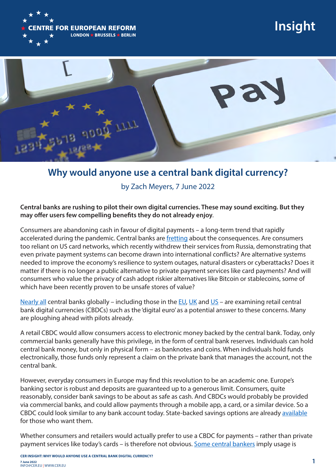

**Insight**



## **Why would anyone use a central bank digital currency?**

by Zach Meyers, 7 June 2022

## **Central banks are rushing to pilot their own digital currencies. These may sound exciting. But they may offer users few compelling benefits they do not already enjoy***.*

Consumers are abandoning cash in favour of digital payments – a long-term trend that rapidly accelerated during the pandemic. Central banks are fretting about the consequences. Are consumers too reliant on US card networks, which recently withdrew their services from Russia, demonstrating that even private payment systems can become drawn into international conflicts? Are alternative systems needed to improve the economy's resilience to system outages, natural disasters or cyberattacks? Does it matter if there is no longer a public alternative to private payment services like card payments? And will consumers who value the privacy of cash adopt riskier alternatives like Bitcoin or stablecoins, some of which have been recently proven to be unsafe stores of value?

Nearly all central banks globally – including those in the EU, UK and US – are examining retail central bank digital currencies (CBDCs) such as the 'digital euro' as a potential answer to these concerns. Many are ploughing ahead with pilots already.

A retail CBDC would allow consumers access to electronic money backed by the central bank. Today, only commercial banks generally have this privilege, in the form of central bank reserves. Individuals can hold central bank money, but only in physical form – as banknotes and coins. When individuals hold funds electronically, those funds only represent a claim on the private bank that manages the account, not the central bank.

However, everyday consumers in Europe may find this revolution to be an academic one. Europe's banking sector is robust and deposits are guaranteed up to a generous limit. Consumers, quite reasonably, consider bank savings to be about as safe as cash. And CBDCs would probably be provided via commercial banks, and could allow payments through a mobile app, a card, or a similar device. So a CBDC could look similar to any bank account today. State-backed savings options are already available for those who want them.

Whether consumers and retailers would actually prefer to use a CBDC for payments – rather than private payment services like today's cards – is therefore not obvious. Some central bankers imply usage is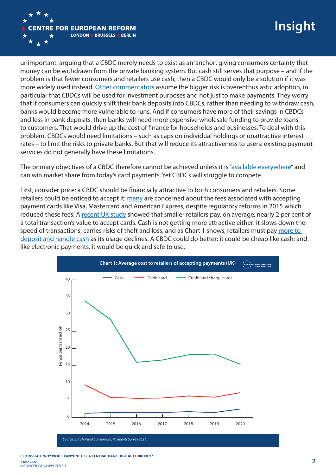

unimportant, arguing that a CBDC merely needs to exist as an 'anchor', giving consumers certainty that money can be withdrawn from the private banking system. But cash still serves that purpose – and if the problem is that fewer consumers and retailers use cash, then a CBDC would only be a solution if it was more widely used instead. Other commentators assume the bigger risk is overenthusiastic adoption, in particular that CBDCs will be used for investment purposes and not just to make payments. They worry that if consumers can quickly shift their bank deposits into CBDCs, rather than needing to withdraw cash, banks would become more vulnerable to runs. And if consumers have more of their savings in CBDCs and less in bank deposits, then banks will need more expensive wholesale funding to provide loans to customers. That would drive up the cost of finance for households and businesses. To deal with this problem, CBDCs would need limitations – such as caps on individual holdings or unattractive interest rates – to limit the risks to private banks. But that will reduce its attractiveness to users: existing payment services do not generally have these limitations.

The primary objectives of a CBDC therefore cannot be achieved unless it is "available everywhere" and can win market share from today's card payments. Yet CBDCs will struggle to compete.

First, consider price: a CBDC should be financially attractive to both consumers and retailers. Some retailers could be enticed to accept it: many are concerned about the fees associated with accepting payment cards like Visa, Mastercard and American Express, despite regulatory reforms in 2015 which reduced these fees. A recent UK study showed that smaller retailers pay, on average, nearly 2 per cent of a total transaction's value to accept cards. Cash is not getting more attractive either: it slows down the speed of transactions; carries risks of theft and loss; and as Chart 1 shows, retailers must pay more to deposit and handle cash as its usage declines. A CBDC could do better: it could be cheap like cash; and like electronic payments, it would be quick and safe to use.



*Source: British Retail Consortium, Payments Survey 2021.*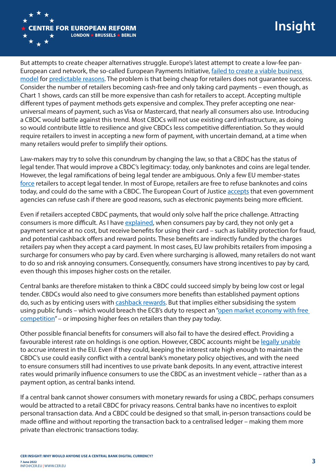

But attempts to create cheaper alternatives struggle. Europe's latest attempt to create a low-fee pan-European card network, the so-called European Payments Initiative, failed to create a viable business model for predictable reasons. The problem is that being cheap for retailers does not guarantee success. Consider the number of retailers becoming cash-free and only taking card payments – even though, as Chart 1 shows, cards can still be more expensive than cash for retailers to accept. Accepting multiple different types of payment methods gets expensive and complex. They prefer accepting one nearuniversal means of payment, such as Visa or Mastercard, that nearly all consumers also use. Introducing a CBDC would battle against this trend. Most CBDCs will not use existing card infrastructure, as doing so would contribute little to resilience and give CBDCs less competitive differentiation. So they would require retailers to invest in accepting a new form of payment, with uncertain demand, at a time when many retailers would prefer to simplify their options.

Law-makers may try to solve this conundrum by changing the law, so that a CBDC has the status of legal tender. That would improve a CBDC's legitimacy: today, only banknotes and coins are legal tender. However, the legal ramifications of being legal tender are ambiguous. Only a few EU member-states force retailers to accept legal tender. In most of Europe, retailers are free to refuse banknotes and coins today, and could do the same with a CBDC. The European Court of Justice accepts that even government agencies can refuse cash if there are good reasons, such as electronic payments being more efficient.

Even if retailers accepted CBDC payments, that would only solve half the price challenge. Attracting consumers is more difficult. As I have explained, when consumers pay by card, they not only get a payment service at no cost, but receive benefits for using their card – such as liability protection for fraud, and potential cashback offers and reward points. These benefits are indirectly funded by the charges retailers pay when they accept a card payment. In most cases, EU law prohibits retailers from imposing a surcharge for consumers who pay by card. Even where surcharging is allowed, many retailers do not want to do so and risk annoying consumers. Consequently, consumers have strong incentives to pay by card, even though this imposes higher costs on the retailer.

Central banks are therefore mistaken to think a CBDC could succeed simply by being low cost or legal tender. CBDCs would also need to give consumers more benefits than established payment options do, such as by enticing users with cashback rewards. But that implies either subsidising the system using public funds – which would breach the ECB's duty to respect an "open market economy with free competition" – or imposing higher fees on retailers than they pay today.

Other possible financial benefits for consumers will also fail to have the desired effect. Providing a favourable interest rate on holdings is one option. However, CBDC accounts might be legally unable to accrue interest in the EU. Even if they could, keeping the interest rate high enough to maintain the CBDC's use could easily conflict with a central bank's monetary policy objectives, and with the need to ensure consumers still had incentives to use private bank deposits. In any event, attractive interest rates would primarily influence consumers to use the CBDC as an investment vehicle – rather than as a payment option, as central banks intend.

If a central bank cannot shower consumers with monetary rewards for using a CBDC, perhaps consumers would be attracted to a retail CBDC for privacy reasons. Central banks have no incentives to exploit personal transaction data. And a CBDC could be designed so that small, in-person transactions could be made offline and without reporting the transaction back to a centralised ledger – making them more private than electronic transactions today.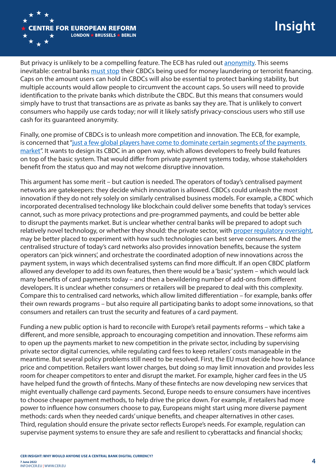

But privacy is unlikely to be a compelling feature. The ECB has ruled out **anonymity**. This seems inevitable: central banks must stop their CBDCs being used for money laundering or terrorist financing. Caps on the amount users can hold in CBDCs will also be essential to protect banking stability, but multiple accounts would allow people to circumvent the account caps. So users will need to provide identification to the private banks which distribute the CBDC. But this means that consumers would simply have to trust that transactions are as private as banks say they are. That is unlikely to convert consumers who happily use cards today; nor will it likely satisfy privacy-conscious users who still use cash for its guaranteed anonymity.

Finally, one promise of CBDCs is to unleash more competition and innovation. The ECB, for example, is concerned that "just a few global players have come to dominate certain segments of the payments market". It wants to design its CBDC in an open way, which allows developers to freely build features on top of the basic system. That would differ from private payment systems today, whose stakeholders benefit from the status quo and may not welcome disruptive innovation.

This argument has some merit – but caution is needed. The operators of today's centralised payment networks are gatekeepers: they decide which innovation is allowed. CBDCs could unleash the most innovation if they do not rely solely on similarly centralised business models. For example, a CBDC which incorporated decentralised technology like blockchain could deliver some benefits that today's services cannot, such as more privacy protections and pre-programmed payments, and could be better able to disrupt the payments market. But is unclear whether central banks will be prepared to adopt such relatively novel technology, or whether they should: the private sector, with proper regulatory oversight, may be better placed to experiment with how such technologies can best serve consumers. And the centralised structure of today's card networks also provides innovation benefits, because the system operators can 'pick winners', and orchestrate the coordinated adoption of new innovations across the payment system, in ways which decentralised systems can find more difficult. If an open CBDC platform allowed any developer to add its own features, then there would be a 'basic' system – which would lack many benefits of card payments today – and then a bewildering number of add-ons from different developers. It is unclear whether consumers or retailers will be prepared to deal with this complexity. Compare this to centralised card networks, which allow limited differentiation – for example, banks offer their own rewards programs – but also require all participating banks to adopt some innovations, so that consumers and retailers can trust the security and features of a card payment.

Funding a new public option is hard to reconcile with Europe's retail payments reforms – which take a different, and more sensible, approach to encouraging competition and innovation. These reforms aim to open up the payments market to new competition in the private sector, including by supervising private sector digital currencies, while regulating card fees to keep retailers' costs manageable in the meantime. But several policy problems still need to be resolved. First, the EU must decide how to balance price and competition. Retailers want lower charges, but doing so may limit innovation and provides less room for cheaper competitors to enter and disrupt the market. For example, higher card fees in the US have helped fund the growth of fintechs. Many of these fintechs are now developing new services that might eventually challenge card payments. Second, Europe needs to ensure consumers have incentives to choose cheaper payment methods, to help drive the price down. For example, if retailers had more power to influence how consumers choose to pay, Europeans might start using more diverse payment methods: cards when they needed cards' unique benefits, and cheaper alternatives in other cases. Third, regulation should ensure the private sector reflects Europe's needs. For example, regulation can supervise payment systems to ensure they are safe and resilient to cyberattacks and financial shocks;